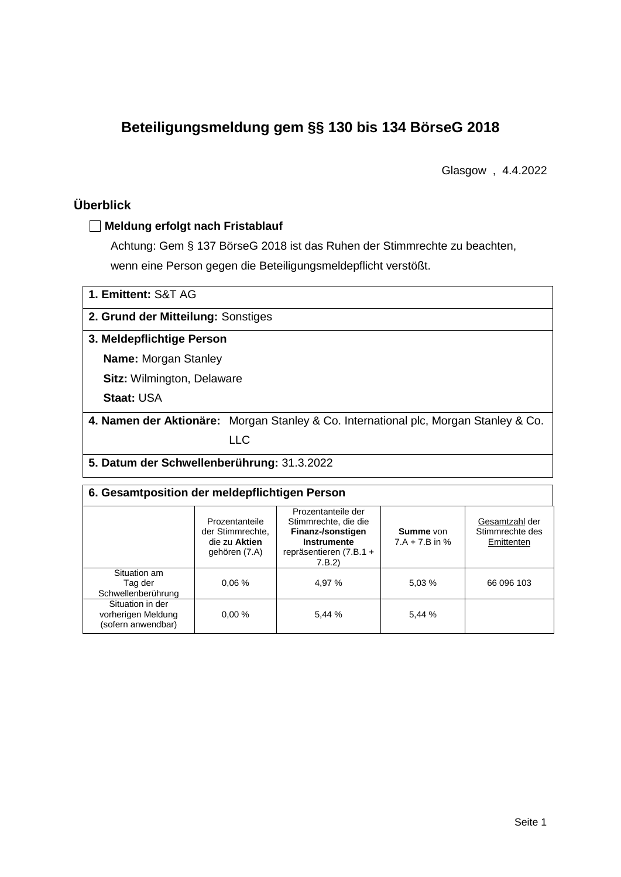# **Beteiligungsmeldung gem §§ 130 bis 134 BörseG 2018**

Glasgow , 4.4.2022

# **Überblick**

#### **Meldung erfolgt nach Fristablauf**

Achtung: Gem § 137 BörseG 2018 ist das Ruhen der Stimmrechte zu beachten, wenn eine Person gegen die Beteiligungsmeldepflicht verstößt.

| 1. Emittent: S&T AG                        |                                                                                      |  |  |  |  |
|--------------------------------------------|--------------------------------------------------------------------------------------|--|--|--|--|
| 2. Grund der Mitteilung: Sonstiges         |                                                                                      |  |  |  |  |
| 3. Meldepflichtige Person                  |                                                                                      |  |  |  |  |
| <b>Name: Morgan Stanley</b>                |                                                                                      |  |  |  |  |
|                                            | <b>Sitz: Wilmington, Delaware</b>                                                    |  |  |  |  |
| <b>Staat: USA</b>                          |                                                                                      |  |  |  |  |
|                                            | 4. Namen der Aktionäre: Morgan Stanley & Co. International plc, Morgan Stanley & Co. |  |  |  |  |
|                                            | LLC                                                                                  |  |  |  |  |
| 5. Datum der Schwellenberührung: 31.3.2022 |                                                                                      |  |  |  |  |

| 6. Gesamtposition der meldepflichtigen Person                |                                                                      |                                                                                                                           |                                      |                                                 |  |  |  |  |
|--------------------------------------------------------------|----------------------------------------------------------------------|---------------------------------------------------------------------------------------------------------------------------|--------------------------------------|-------------------------------------------------|--|--|--|--|
|                                                              | Prozentanteile<br>der Stimmrechte,<br>die zu Aktien<br>gehören (7.A) | Prozentanteile der<br>Stimmrechte, die die<br>Finanz-/sonstigen<br><b>Instrumente</b><br>repräsentieren (7.B.1 +<br>7.B.2 | <b>Summe</b> von<br>$7.A + 7.B$ in % | Gesamtzahl der<br>Stimmrechte des<br>Emittenten |  |  |  |  |
| Situation am<br>Tag der<br>Schwellenberührung                | 0.06%                                                                | 4.97 %                                                                                                                    | 5.03%                                | 66 096 103                                      |  |  |  |  |
| Situation in der<br>vorherigen Meldung<br>(sofern anwendbar) | 0.00%                                                                | 5,44 %                                                                                                                    | 5.44 %                               |                                                 |  |  |  |  |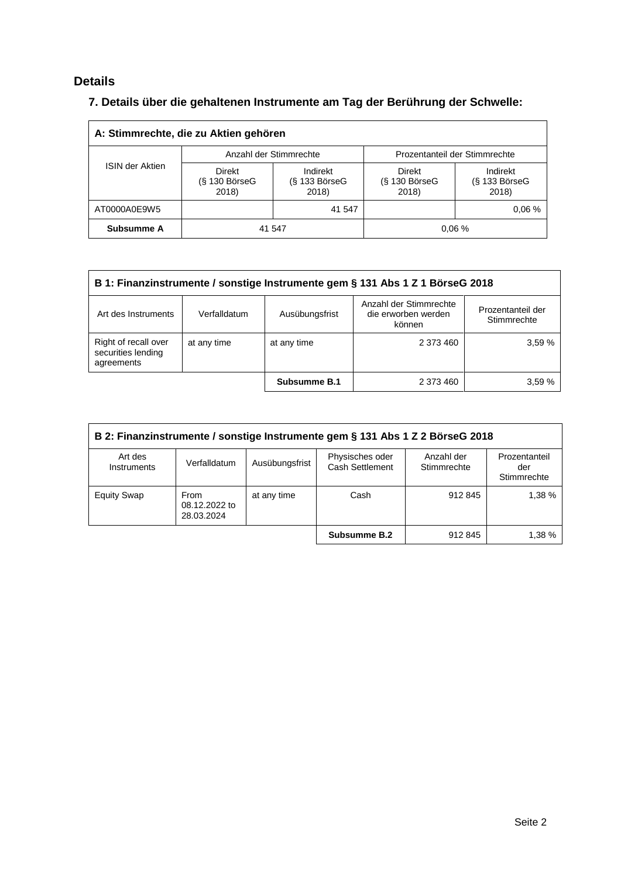## **Details**

# **7. Details über die gehaltenen Instrumente am Tag der Berührung der Schwelle:**

| A: Stimmrechte, die zu Aktien gehören |                                  |                                         |                                    |                                    |  |  |
|---------------------------------------|----------------------------------|-----------------------------------------|------------------------------------|------------------------------------|--|--|
|                                       |                                  | Anzahl der Stimmrechte                  | Prozentanteil der Stimmrechte      |                                    |  |  |
| <b>ISIN der Aktien</b>                | Direkt<br>(§ 130 BörseG<br>2018) | Indirekt<br>$(S$ 133 Börse $G$<br>2018) | Direkt<br>$(S$ 130 BörseG<br>2018) | Indirekt<br>(§ 133 BörseG<br>2018) |  |  |
| AT0000A0E9W5                          | 41 547                           |                                         |                                    | 0.06%                              |  |  |
| Subsumme A                            | 41 547                           |                                         | 0.06%                              |                                    |  |  |

| B 1: Finanzinstrumente / sonstige Instrumente gem § 131 Abs 1 Z 1 BörseG 2018 |              |                |                                                         |                                  |  |  |
|-------------------------------------------------------------------------------|--------------|----------------|---------------------------------------------------------|----------------------------------|--|--|
| Art des Instruments                                                           | Verfalldatum | Ausübungsfrist | Anzahl der Stimmrechte<br>die erworben werden<br>können | Prozentanteil der<br>Stimmrechte |  |  |
| Right of recall over<br>securities lending<br>agreements                      | at any time  | at any time    | 2 373 460                                               | 3.59%                            |  |  |
|                                                                               |              | Subsumme B.1   | 2 373 460                                               | 3.59%                            |  |  |

| B 2: Finanzinstrumente / sonstige Instrumente gem § 131 Abs 1 Z 2 BörseG 2018 |                                     |                |                                           |                           |                                     |  |
|-------------------------------------------------------------------------------|-------------------------------------|----------------|-------------------------------------------|---------------------------|-------------------------------------|--|
| Art des<br>Instruments                                                        | Verfalldatum                        | Ausübungsfrist | Physisches oder<br><b>Cash Settlement</b> | Anzahl der<br>Stimmrechte | Prozentanteil<br>der<br>Stimmrechte |  |
| <b>Equity Swap</b>                                                            | From<br>08.12.2022 to<br>28.03.2024 | at any time    | Cash                                      | 912 845                   | 1,38 %                              |  |
|                                                                               |                                     |                | Subsumme B.2                              | 912 845                   | 1.38 %                              |  |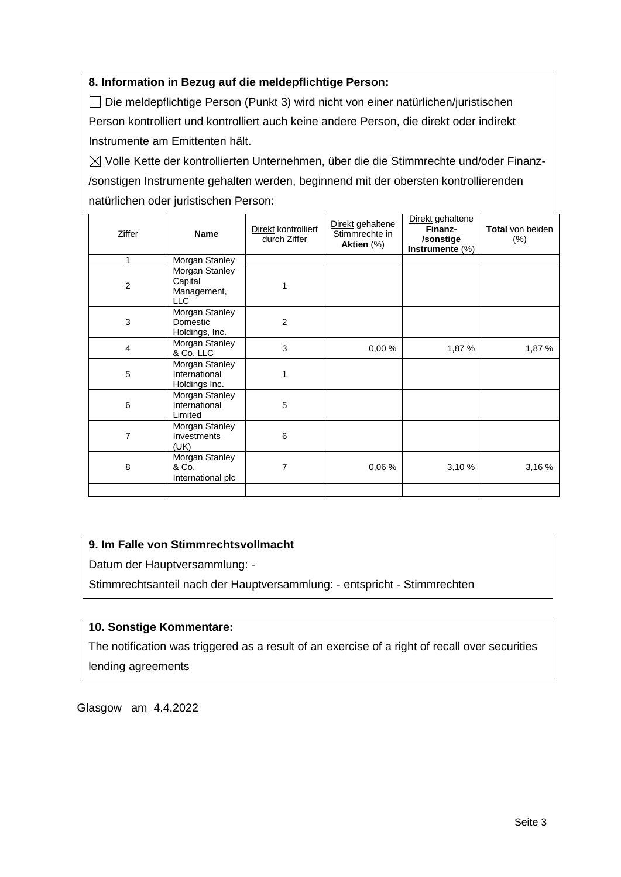#### **8. Information in Bezug auf die meldepflichtige Person:**

Die meldepflichtige Person (Punkt 3) wird nicht von einer natürlichen/juristischen Person kontrolliert und kontrolliert auch keine andere Person, die direkt oder indirekt Instrumente am Emittenten hält.

 $\boxtimes$  Volle Kette der kontrollierten Unternehmen, über die die Stimmrechte und/oder Finanz-/sonstigen Instrumente gehalten werden, beginnend mit der obersten kontrollierenden natürlichen oder juristischen Person:

| Ziffer         | <b>Name</b>                                            | Direkt kontrolliert<br>durch Ziffer | Direkt gehaltene<br>Stimmrechte in<br>Aktien (%) | Direkt gehaltene<br>Finanz-<br>/sonstige<br>Instrumente (%) | <b>Total</b> von beiden<br>$(\%)$ |
|----------------|--------------------------------------------------------|-------------------------------------|--------------------------------------------------|-------------------------------------------------------------|-----------------------------------|
| 1              | Morgan Stanley                                         |                                     |                                                  |                                                             |                                   |
| $\overline{c}$ | Morgan Stanley<br>Capital<br>Management,<br><b>LLC</b> |                                     |                                                  |                                                             |                                   |
| 3              | Morgan Stanley<br>Domestic<br>Holdings, Inc.           | $\overline{2}$                      |                                                  |                                                             |                                   |
| $\overline{4}$ | Morgan Stanley<br>& Co. LLC                            | 3                                   | 0,00%                                            | 1,87 %                                                      | 1,87 %                            |
| 5              | Morgan Stanley<br>International<br>Holdings Inc.       | 1                                   |                                                  |                                                             |                                   |
| 6              | Morgan Stanley<br>International<br>Limited             | 5                                   |                                                  |                                                             |                                   |
| $\overline{7}$ | Morgan Stanley<br>Investments<br>(UK)                  | 6                                   |                                                  |                                                             |                                   |
| 8              | Morgan Stanley<br>& Co.<br>International plc           | 7                                   | 0,06%                                            | 3,10%                                                       | 3,16%                             |
|                |                                                        |                                     |                                                  |                                                             |                                   |

#### **9. Im Falle von Stimmrechtsvollmacht**

Datum der Hauptversammlung: -

Stimmrechtsanteil nach der Hauptversammlung: - entspricht - Stimmrechten

#### **10. Sonstige Kommentare:**

The notification was triggered as a result of an exercise of a right of recall over securities lending agreements

Glasgow am 4.4.2022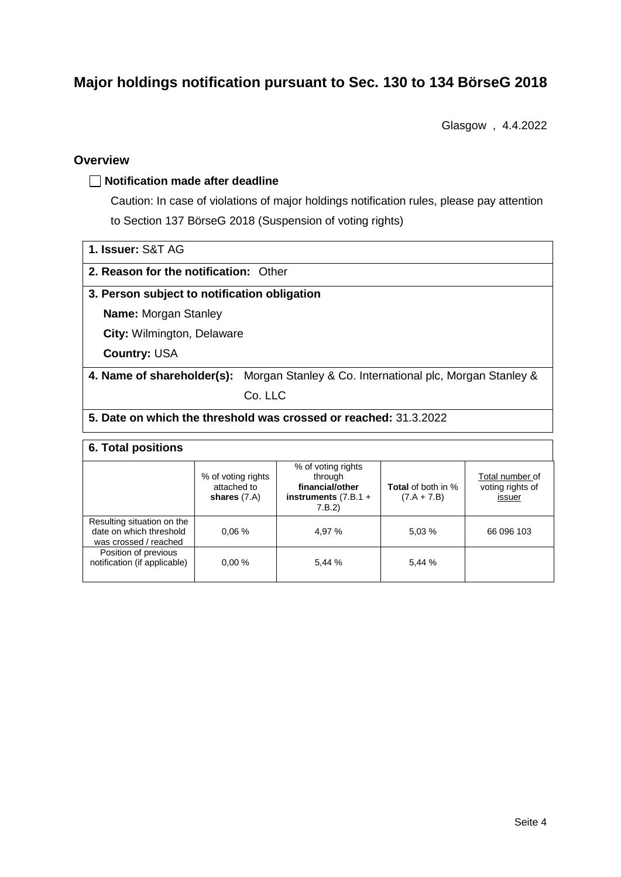# **Major holdings notification pursuant to Sec. 130 to 134 BörseG 2018**

Glasgow , 4.4.2022

#### **Overview**

#### **Notification made after deadline**

Caution: In case of violations of major holdings notification rules, please pay attention to Section 137 BörseG 2018 (Suspension of voting rights)

|  |  | 1. Issuer: S&T AG |  |  |
|--|--|-------------------|--|--|
|--|--|-------------------|--|--|

#### **2. Reason for the notification:** Other

#### **3. Person subject to notification obligation**

**Name:** Morgan Stanley

**City:** Wilmington, Delaware

**Country:** USA

### **4. Name of shareholder(s):** Morgan Stanley & Co. International plc, Morgan Stanley &

Co. LLC

#### **5. Date on which the threshold was crossed or reached:** 31.3.2022

#### **6. Total positions**

|                                                                                | % of voting rights<br>attached to<br>shares $(7.A)$ | % of voting rights<br>through<br>financial/other<br>instruments $(7.B.1 +$<br>7.B.2) | <b>Total</b> of both in %<br>$(7.A + 7.B)$ | Total number of<br>voting rights of<br>issuer |  |  |  |  |
|--------------------------------------------------------------------------------|-----------------------------------------------------|--------------------------------------------------------------------------------------|--------------------------------------------|-----------------------------------------------|--|--|--|--|
| Resulting situation on the<br>date on which threshold<br>was crossed / reached | 0.06%                                               | 4,97 %                                                                               | 5.03 %                                     | 66 096 103                                    |  |  |  |  |
| Position of previous<br>notification (if applicable)                           | 0.00%                                               | 5.44 %                                                                               | 5.44 %                                     |                                               |  |  |  |  |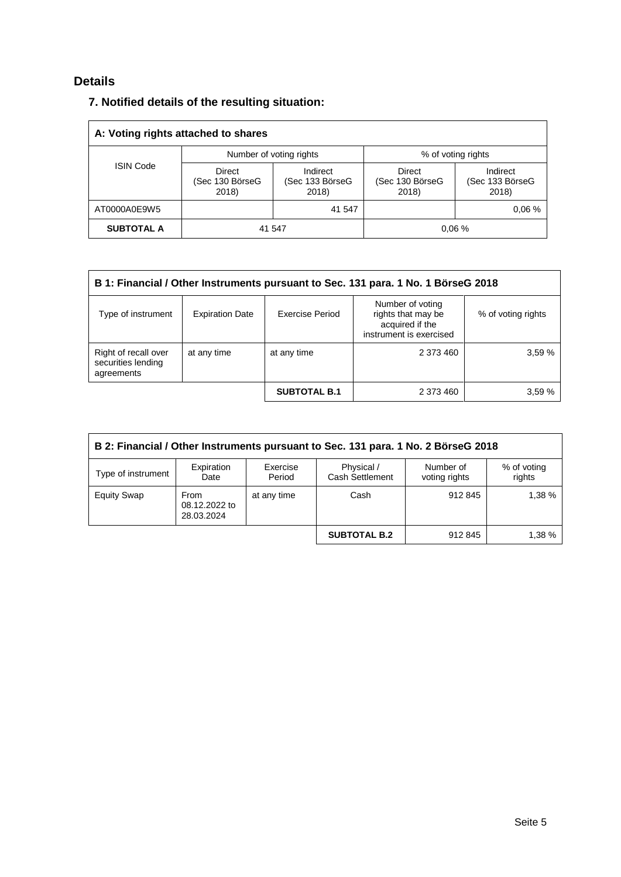## **Details**

### **7. Notified details of the resulting situation:**

| A: Voting rights attached to shares |                                           |                                      |                                    |                                      |  |  |
|-------------------------------------|-------------------------------------------|--------------------------------------|------------------------------------|--------------------------------------|--|--|
|                                     |                                           | Number of voting rights              | % of voting rights                 |                                      |  |  |
| <b>ISIN Code</b>                    | <b>Direct</b><br>(Sec 130 BörseG<br>2018) | Indirect<br>(Sec 133 BörseG<br>2018) | Direct<br>(Sec 130 BörseG<br>2018) | Indirect<br>(Sec 133 BörseG<br>2018) |  |  |
| AT0000A0E9W5                        | 41 547                                    |                                      |                                    | 0.06%                                |  |  |
| <b>SUBTOTAL A</b>                   | 41 547                                    |                                      | 0.06%                              |                                      |  |  |

| B 1: Financial / Other Instruments pursuant to Sec. 131 para. 1 No. 1 BörseG 2018 |                        |                        |                                                                                      |                    |  |  |
|-----------------------------------------------------------------------------------|------------------------|------------------------|--------------------------------------------------------------------------------------|--------------------|--|--|
| Type of instrument                                                                | <b>Expiration Date</b> | <b>Exercise Period</b> | Number of voting<br>rights that may be<br>acquired if the<br>instrument is exercised | % of voting rights |  |  |
| Right of recall over<br>securities lending<br>agreements                          | at any time            | at any time            | 2 373 460                                                                            | 3.59 %             |  |  |
|                                                                                   |                        | <b>SUBTOTAL B.1</b>    | 2 373 460                                                                            | 3,59%              |  |  |

| B 2: Financial / Other Instruments pursuant to Sec. 131 para. 1 No. 2 BörseG 2018 |                                     |                    |                                      |                            |                       |  |
|-----------------------------------------------------------------------------------|-------------------------------------|--------------------|--------------------------------------|----------------------------|-----------------------|--|
| Type of instrument                                                                | Expiration<br>Date                  | Exercise<br>Period | Physical /<br><b>Cash Settlement</b> | Number of<br>voting rights | % of voting<br>rights |  |
| <b>Equity Swap</b>                                                                | From<br>08.12.2022 to<br>28.03.2024 | at any time        | Cash                                 | 912845                     | 1.38%                 |  |
|                                                                                   |                                     |                    | <b>SUBTOTAL B.2</b>                  | 912 845                    | 1.38 %                |  |